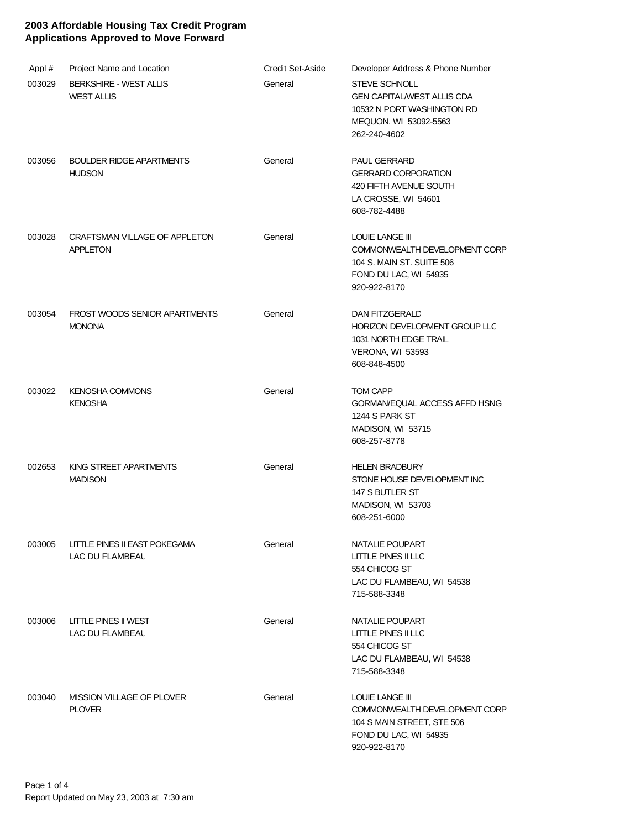| Appl#  | Project Name and Location                          | <b>Credit Set-Aside</b> | Developer Address & Phone Number                                                                                                 |
|--------|----------------------------------------------------|-------------------------|----------------------------------------------------------------------------------------------------------------------------------|
| 003029 | <b>BERKSHIRE - WEST ALLIS</b><br><b>WEST ALLIS</b> | General                 | <b>STEVE SCHNOLL</b><br><b>GEN CAPITAL/WEST ALLIS CDA</b><br>10532 N PORT WASHINGTON RD<br>MEQUON, WI 53092-5563<br>262-240-4602 |
| 003056 | <b>BOULDER RIDGE APARTMENTS</b><br><b>HUDSON</b>   | General                 | <b>PAUL GERRARD</b><br><b>GERRARD CORPORATION</b><br>420 FIFTH AVENUE SOUTH<br>LA CROSSE, WI 54601<br>608-782-4488               |
| 003028 | CRAFTSMAN VILLAGE OF APPLETON<br><b>APPLETON</b>   | General                 | LOUIE LANGE III<br>COMMONWEALTH DEVELOPMENT CORP<br>104 S. MAIN ST. SUITE 506<br>FOND DU LAC, WI 54935<br>920-922-8170           |
| 003054 | FROST WOODS SENIOR APARTMENTS<br><b>MONONA</b>     | General                 | DAN FITZGERALD<br>HORIZON DEVELOPMENT GROUP LLC<br>1031 NORTH EDGE TRAIL<br>VERONA, WI 53593<br>608-848-4500                     |
| 003022 | <b>KENOSHA COMMONS</b><br><b>KENOSHA</b>           | General                 | <b>TOM CAPP</b><br>GORMAN/EQUAL ACCESS AFFD HSNG<br>1244 S PARK ST<br>MADISON, WI 53715<br>608-257-8778                          |
| 002653 | KING STREET APARTMENTS<br><b>MADISON</b>           | General                 | <b>HELEN BRADBURY</b><br>STONE HOUSE DEVELOPMENT INC<br>147 S BUTLER ST<br>MADISON, WI 53703<br>608-251-6000                     |
| 003005 | LITTLE PINES II EAST POKEGAMA<br>LAC DU FLAMBEAL   | General                 | NATALIE POUPART<br>LITTLE PINES II LLC<br>554 CHICOG ST<br>LAC DU FLAMBEAU, WI 54538<br>715-588-3348                             |
| 003006 | LITTLE PINES II WEST<br>LAC DU FLAMBEAL            | General                 | NATALIE POUPART<br>LITTLE PINES II LLC<br>554 CHICOG ST<br>LAC DU FLAMBEAU, WI 54538<br>715-588-3348                             |
| 003040 | MISSION VILLAGE OF PLOVER<br><b>PLOVER</b>         | General                 | LOUIE LANGE III<br>COMMONWEALTH DEVELOPMENT CORP<br>104 S MAIN STREET, STE 506<br>FOND DU LAC, WI 54935<br>920-922-8170          |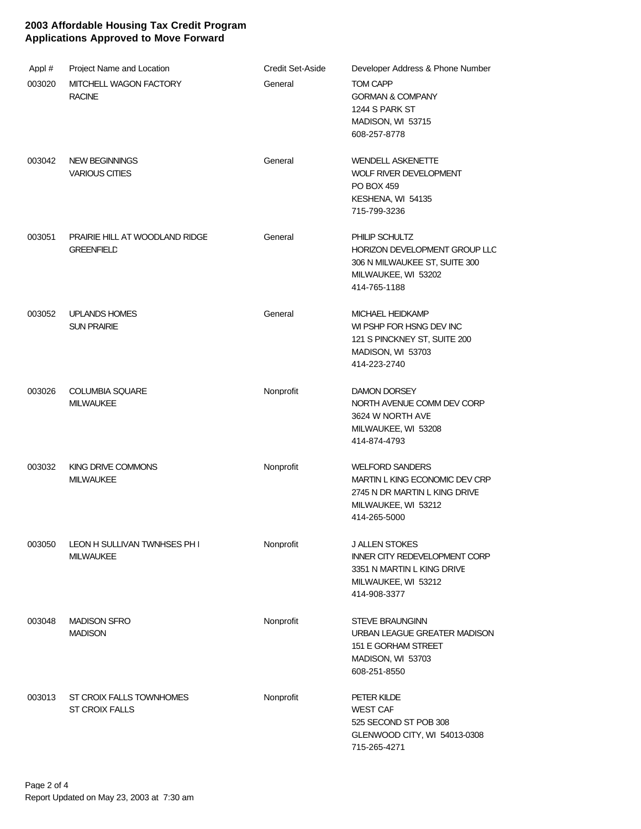| Appl#  | <b>Project Name and Location</b>                           | <b>Credit Set-Aside</b> | Developer Address & Phone Number                                                                                                   |
|--------|------------------------------------------------------------|-------------------------|------------------------------------------------------------------------------------------------------------------------------------|
| 003020 | MITCHELL WAGON FACTORY<br><b>RACINE</b>                    | General                 | <b>TOM CAPP</b><br><b>GORMAN &amp; COMPANY</b><br>1244 S PARK ST<br>MADISON, WI 53715<br>608-257-8778                              |
| 003042 | <b>NEW BEGINNINGS</b><br><b>VARIOUS CITIES</b>             | General                 | <b>WENDELL ASKENETTE</b><br><b>WOLF RIVER DEVELOPMENT</b><br>PO BOX 459<br>KESHENA, WI 54135<br>715-799-3236                       |
| 003051 | <b>PRAIRIE HILL AT WOODLAND RIDGE</b><br><b>GREENFIELD</b> | General                 | PHILIP SCHULTZ<br>HORIZON DEVELOPMENT GROUP LLC<br>306 N MILWAUKEE ST, SUITE 300<br>MILWAUKEE, WI 53202<br>414-765-1188            |
| 003052 | <b>UPLANDS HOMES</b><br><b>SUN PRAIRIE</b>                 | General                 | MICHAEL HEIDKAMP<br>WI PSHP FOR HSNG DEV INC<br>121 S PINCKNEY ST, SUITE 200<br>MADISON, WI 53703<br>414-223-2740                  |
| 003026 | <b>COLUMBIA SQUARE</b><br><b>MILWAUKEE</b>                 | Nonprofit               | <b>DAMON DORSEY</b><br>NORTH AVENUE COMM DEV CORP<br>3624 W NORTH AVE<br>MILWAUKEE, WI 53208<br>414-874-4793                       |
| 003032 | <b>KING DRIVE COMMONS</b><br><b>MILWAUKEE</b>              | Nonprofit               | <b>WELFORD SANDERS</b><br>MARTIN L KING ECONOMIC DEV CRP<br>2745 N DR MARTIN L KING DRIVE<br>MILWAUKEE, WI 53212<br>414-265-5000   |
| 003050 | LEON H SULLIVAN TWNHSES PH I<br><b>MILWAUKEE</b>           | Nonprofit               | <b>J ALLEN STOKES</b><br><b>INNER CITY REDEVELOPMENT CORP</b><br>3351 N MARTIN L KING DRIVE<br>MILWAUKEE, WI 53212<br>414-908-3377 |
| 003048 | <b>MADISON SFRO</b><br><b>MADISON</b>                      | Nonprofit               | <b>STEVE BRAUNGINN</b><br>URBAN LEAGUE GREATER MADISON<br>151 E GORHAM STREET<br>MADISON, WI 53703<br>608-251-8550                 |
| 003013 | ST CROIX FALLS TOWNHOMES<br><b>ST CROIX FALLS</b>          | Nonprofit               | PETER KILDE<br><b>WEST CAF</b><br>525 SECOND ST POB 308<br>GLENWOOD CITY, WI 54013-0308<br>715-265-4271                            |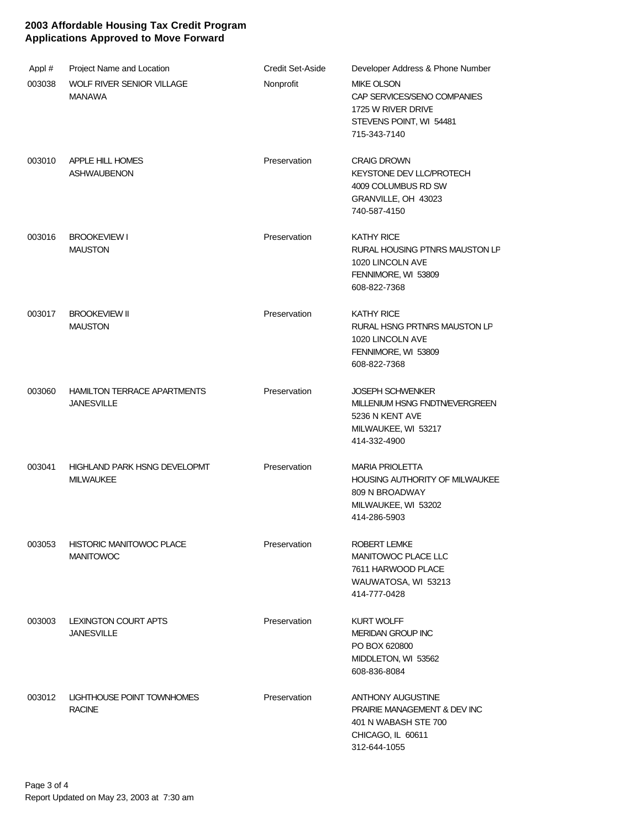| Appl#  | Project Name and Location                               | <b>Credit Set-Aside</b> | Developer Address & Phone Number                                                                                                 |
|--------|---------------------------------------------------------|-------------------------|----------------------------------------------------------------------------------------------------------------------------------|
| 003038 | WOLF RIVER SENIOR VILLAGE<br><b>MANAWA</b>              | Nonprofit               | <b>MIKE OLSON</b><br>CAP SERVICES/SENO COMPANIES<br>1725 W RIVER DRIVE<br>STEVENS POINT, WI 54481<br>715-343-7140                |
| 003010 | APPLE HILL HOMES<br><b>ASHWAUBENON</b>                  | Preservation            | <b>CRAIG DROWN</b><br>KEYSTONE DEV LLC/PROTECH<br>4009 COLUMBUS RD SW<br>GRANVILLE, OH 43023<br>740-587-4150                     |
| 003016 | <b>BROOKEVIEW I</b><br><b>MAUSTON</b>                   | Preservation            | <b>KATHY RICE</b><br>RURAL HOUSING PTNRS MAUSTON LP<br>1020 LINCOLN AVE<br>FENNIMORE, WI 53809<br>608-822-7368                   |
| 003017 | <b>BROOKEVIEW II</b><br><b>MAUSTON</b>                  | Preservation            | <b>KATHY RICE</b><br>RURAL HSNG PRTNRS MAUSTON LP<br>1020 LINCOLN AVE<br>FENNIMORE, WI 53809<br>608-822-7368                     |
| 003060 | <b>HAMILTON TERRACE APARTMENTS</b><br><b>JANESVILLE</b> | Preservation            | <b>JOSEPH SCHWENKER</b><br>MILLENIUM HSNG FNDTN/EVERGREEN<br>5236 N KENT AVE<br>MILWAUKEE, WI 53217<br>414-332-4900              |
| 003041 | <b>HIGHLAND PARK HSNG DEVELOPMT</b><br><b>MILWAUKEE</b> | Preservation            | <b>MARIA PRIOLETTA</b><br>HOUSING AUTHORITY OF MILWAUKEE<br>809 N BROADWAY<br>MILWAUKEE, WI 53202<br>414-286-5903                |
| 003053 | <b>HISTORIC MANITOWOC PLACE</b><br><b>MANITOWOC</b>     | Preservation            | ROBERT LEMKE<br>MANITOWOC PLACE LLC<br>7611 HARWOOD PLACE<br>WAUWATOSA, WI 53213<br>414-777-0428                                 |
| 003003 | LEXINGTON COURT APTS<br><b>JANESVILLE</b>               | Preservation            | <b>KURT WOLFF</b><br><b>MERIDAN GROUP INC</b><br>PO BOX 620800<br>MIDDLETON, WI 53562<br>608-836-8084                            |
| 003012 | LIGHTHOUSE POINT TOWNHOMES<br><b>RACINE</b>             | Preservation            | <b>ANTHONY AUGUSTINE</b><br><b>PRAIRIE MANAGEMENT &amp; DEV INC</b><br>401 N WABASH STE 700<br>CHICAGO, IL 60611<br>312-644-1055 |